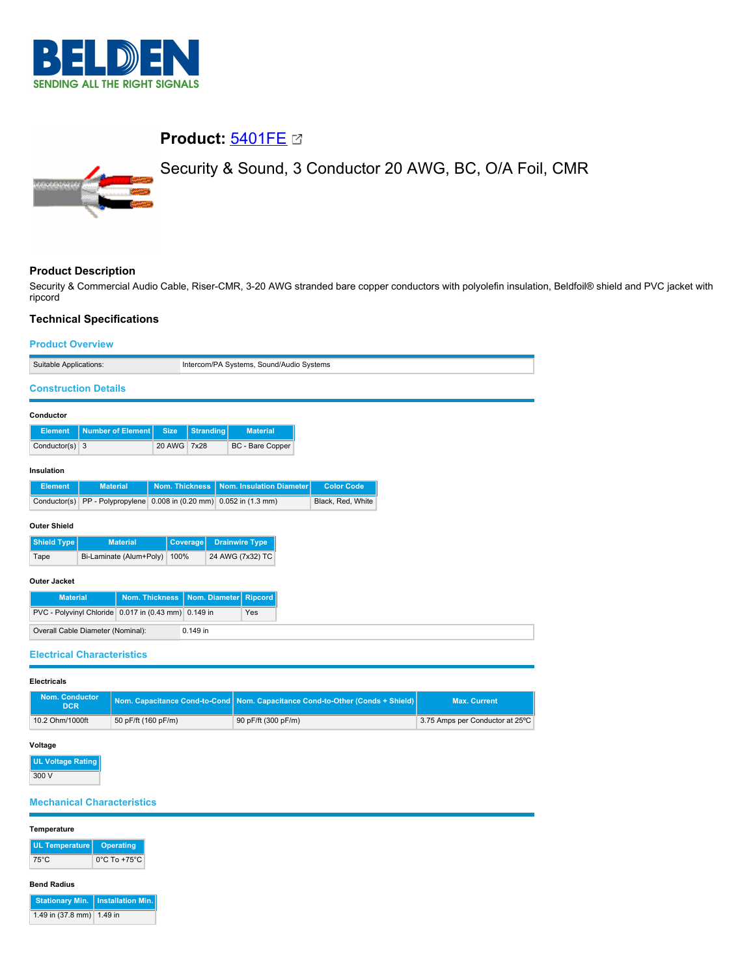

# **Product:** [5401FE](https://catalog.belden.com/index.cfm?event=pd&p=PF_5401FE&tab=downloads)

Security & Sound, 3 Conductor 20 AWG, BC, O/A Foil, CMR



## **Product Description**

Security & Commercial Audio Cable, Riser-CMR, 3-20 AWG stranded bare copper conductors with polyolefin insulation, Beldfoil® shield and PVC jacket with ripcord

# **Technical Specifications**

| <b>Product Overview</b>                              |                          |                 |                                          |                  |                                                         |  |                   |  |  |
|------------------------------------------------------|--------------------------|-----------------|------------------------------------------|------------------|---------------------------------------------------------|--|-------------------|--|--|
| Suitable Applications:                               |                          |                 | Intercom/PA Systems, Sound/Audio Systems |                  |                                                         |  |                   |  |  |
| <b>Construction Details</b>                          |                          |                 |                                          |                  |                                                         |  |                   |  |  |
| Conductor                                            |                          |                 |                                          |                  |                                                         |  |                   |  |  |
| <b>Element</b>                                       | <b>Number of Element</b> |                 | <b>Size</b>                              | <b>Stranding</b> | <b>Material</b>                                         |  |                   |  |  |
| Conductor(s) $3$                                     |                          |                 | 20 AWG 7x28                              |                  | BC - Bare Copper                                        |  |                   |  |  |
| Insulation                                           |                          |                 |                                          |                  |                                                         |  |                   |  |  |
| <b>Element</b>                                       | <b>Material</b>          |                 | <b>Nom. Thickness</b>                    |                  | Nom. Insulation Diameter                                |  | <b>Color Code</b> |  |  |
| Conductor(s)                                         |                          |                 |                                          |                  | PP - Polypropylene 0.008 in (0.20 mm) 0.052 in (1.3 mm) |  | Black, Red, White |  |  |
| <b>Outer Shield</b>                                  |                          |                 |                                          |                  |                                                         |  |                   |  |  |
| <b>Shield Type</b>                                   |                          | <b>Material</b> |                                          | Coverage         | <b>Drainwire Type</b>                                   |  |                   |  |  |
| Tape                                                 | Bi-Laminate (Alum+Poly)  |                 | 100%                                     |                  | 24 AWG (7x32) TC                                        |  |                   |  |  |
| <b>Outer Jacket</b>                                  |                          |                 |                                          |                  |                                                         |  |                   |  |  |
| <b>Material</b>                                      |                          | Nom. Thickness  |                                          | Nom. Diameter    | <b>Ripcord</b>                                          |  |                   |  |  |
| PVC - Polyvinyl Chloride 0.017 in (0.43 mm) 0.149 in |                          |                 |                                          | Yes              |                                                         |  |                   |  |  |
| Overall Cable Diameter (Nominal):<br>0.149 in        |                          |                 |                                          |                  |                                                         |  |                   |  |  |
| <b>Electrical Characteristics</b>                    |                          |                 |                                          |                  |                                                         |  |                   |  |  |

## **Electricals**

| <b>Nom. Conductor</b><br><b>DCR</b> |                 |                     | Nom. Capacitance Cond-to-Cond   Nom. Capacitance Cond-to-Other (Conds + Shield) | <b>Max. Current</b>             |  |
|-------------------------------------|-----------------|---------------------|---------------------------------------------------------------------------------|---------------------------------|--|
|                                     | 10.2 Ohm/1000ft | 50 pF/ft (160 pF/m) | 90 pF/ft (300 pF/m)                                                             | 3.75 Amps per Conductor at 25°C |  |

### **Voltage**

**UL Voltage Rating** 300 V

### **Mechanical Characteristics**

# **Temperature UL Temperature Operating** 75°C 0°C To +75°C **Bend Radius Stationary Min. Installation Min.** 1.49 in (37.8 mm) 1.49 in